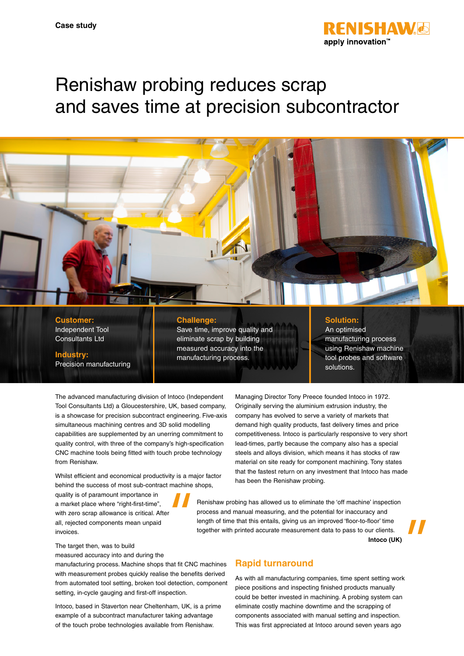

# Renishaw probing reduces scrap and saves time at precision subcontractor

#### **Customer:** Independent Tool Consultants Ltd

**Industry:**

Precision manufacturing

#### **Challenge:**

Save time, improve quality and eliminate scrap by building measured accuracy into the manufacturing process.

### **Solution:**

Managing Director Tony Preece founded Intoco in 1972. Originally serving the aluminium extrusion industry, the company has evolved to serve a variety of markets that demand high quality products, fast delivery times and price competitiveness. Intoco is particularly responsive to very short lead-times, partly because the company also has a special steels and alloys division, which means it has stocks of raw material on site ready for component machining. Tony states that the fastest return on any investment that Intoco has made

An optimised manufacturing process using Renishaw machine tool probes and software solutions.

The advanced manufacturing division of Intoco (Independent Tool Consultants Ltd) a Gloucestershire, UK, based company, is a showcase for precision subcontract engineering. Five-axis simultaneous machining centres and 3D solid modelling capabilities are supplemented by an unerring commitment to quality control, with three of the company's high-specification CNC machine tools being fitted with touch probe technology from Renishaw.

Whilst efficient and economical productivity is a major factor behind the success of most sub-contract machine shops,

quality is of paramount importance in a market place where "right-first-time", with zero scrap allowance is critical. After all, rejected components mean unpaid invoices.

Renishaw probing has allowed us to eliminate the 'off machine' inspection process and manual measuring, and the potential for inaccuracy and length of time that this entails, giving us an improved 'floor-to-floor' time together with printed accurate measurement data to pass to our clients.

**Intoco (UK)**

The target then, was to build

measured accuracy into and during the

manufacturing process. Machine shops that fit CNC machines with measurement probes quickly realise the benefits derived from automated tool setting, broken tool detection, component setting, in-cycle gauging and first-off inspection.

Intoco, based in Staverton near Cheltenham, UK, is a prime example of a subcontract manufacturer taking advantage of the touch probe technologies available from Renishaw.

# **Rapid turnaround**

has been the Renishaw probing.

As with all manufacturing companies, time spent setting work piece positions and inspecting finished products manually could be better invested in machining. A probing system can eliminate costly machine downtime and the scrapping of components associated with manual setting and inspection. This was first appreciated at Intoco around seven years ago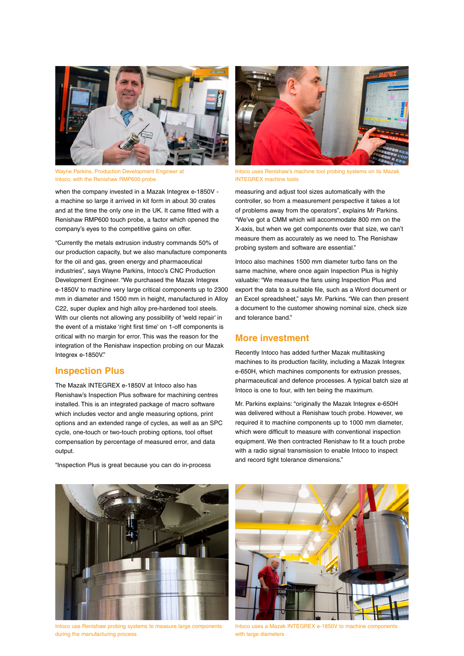

Wayne Parkins, Production Development Engineer at Intoco, with the Renishaw RMP600 probe

when the company invested in a Mazak Integrex e-1850V a machine so large it arrived in kit form in about 30 crates and at the time the only one in the UK. It came fitted with a Renishaw RMP600 touch probe, a factor which opened the company's eyes to the competitive gains on offer.

"Currently the metals extrusion industry commands 50% of our production capacity, but we also manufacture components for the oil and gas, green energy and pharmaceutical industries", says Wayne Parkins, Intoco's CNC Production Development Engineer. "We purchased the Mazak Integrex e-1850V to machine very large critical components up to 2300 mm in diameter and 1500 mm in height, manufactured in Alloy C22, super duplex and high alloy pre-hardened tool steels. With our clients not allowing any possibility of 'weld repair' in the event of a mistake 'right first time' on 1-off components is critical with no margin for error. This was the reason for the integration of the Renishaw inspection probing on our Mazak Integrex e-1850V."

# **Inspection Plus**

The Mazak INTEGREX e-1850V at Intoco also has Renishaw's Inspection Plus software for machining centres installed. This is an integrated package of macro software which includes vector and angle measuring options, print options and an extended range of cycles, as well as an SPC cycle, one-touch or two-touch probing options, tool offset compensation by percentage of measured error, and data output



Intoco uses Renishaw's machine tool probing systems on its Mazak INTEGREX machine tools

measuring and adjust tool sizes automatically with the controller, so from a measurement perspective it takes a lot of problems away from the operators", explains Mr Parkins. "We've got a CMM which will accommodate 800 mm on the X-axis, but when we get components over that size, we can't measure them as accurately as we need to. The Renishaw probing system and software are essential."

Intoco also machines 1500 mm diameter turbo fans on the same machine, where once again Inspection Plus is highly valuable: "We measure the fans using Inspection Plus and export the data to a suitable file, such as a Word document or an Excel spreadsheet," says Mr. Parkins. "We can then present a document to the customer showing nominal size, check size and tolerance band."

# **More investment**

Recently Intoco has added further Mazak multitasking machines to its production facility, including a Mazak Integrex e-650H, which machines components for extrusion presses, pharmaceutical and defence processes. A typical batch size at Intoco is one to four, with ten being the maximum.

Mr. Parkins explains: "originally the Mazak Integrex e-650H was delivered without a Renishaw touch probe. However, we required it to machine components up to 1000 mm diameter, which were difficult to measure with conventional inspection equipment. We then contracted Renishaw to fit a touch probe with a radio signal transmission to enable Intoco to inspect and record tight tolerance dimensions."



Intoco use Renishaw probing systems to measure large components during the manufacturing process



Intoco uses a Mazak INTEGREX e-1850V to machine components with large diameters

#### "Inspection Plus is great because you can do in-process